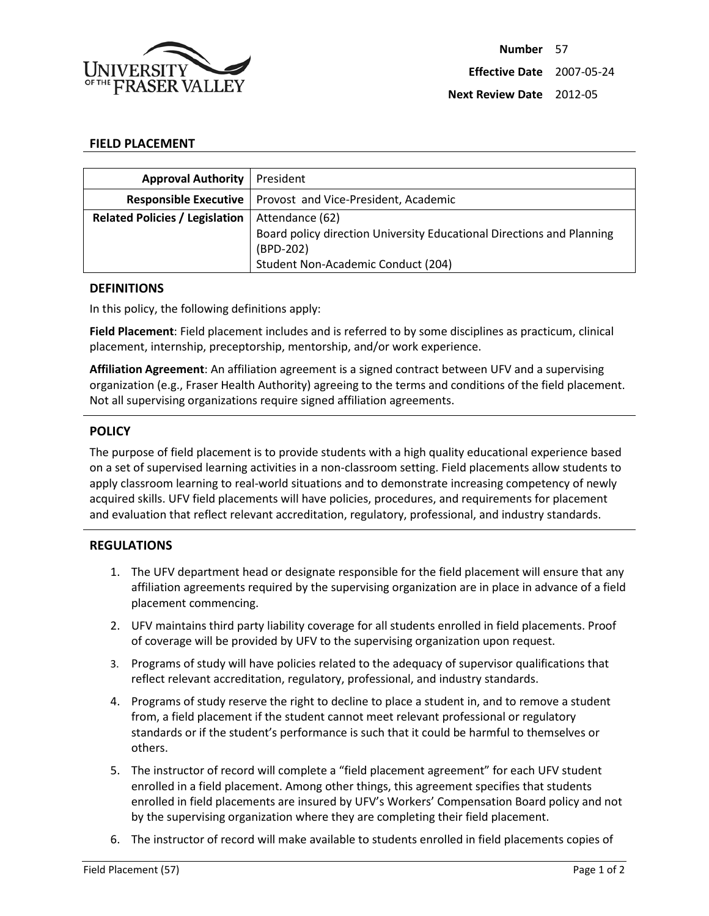

## **FIELD PLACEMENT**

| <b>Approval Authority</b>   President |                                                                       |
|---------------------------------------|-----------------------------------------------------------------------|
|                                       | <b>Responsible Executive   Provost and Vice-President, Academic</b>   |
| <b>Related Policies / Legislation</b> | Attendance (62)                                                       |
|                                       | Board policy direction University Educational Directions and Planning |
|                                       | (BPD-202)                                                             |
|                                       | Student Non-Academic Conduct (204)                                    |

## **DEFINITIONS**

In this policy, the following definitions apply:

**Field Placement**: Field placement includes and is referred to by some disciplines as practicum, clinical placement, internship, preceptorship, mentorship, and/or work experience.

**Affiliation Agreement**: An affiliation agreement is a signed contract between UFV and a supervising organization (e.g., Fraser Health Authority) agreeing to the terms and conditions of the field placement. Not all supervising organizations require signed affiliation agreements.

## **POLICY**

The purpose of field placement is to provide students with a high quality educational experience based on a set of supervised learning activities in a non-classroom setting. Field placements allow students to apply classroom learning to real-world situations and to demonstrate increasing competency of newly acquired skills. UFV field placements will have policies, procedures, and requirements for placement and evaluation that reflect relevant accreditation, regulatory, professional, and industry standards.

## **REGULATIONS**

- 1. The UFV department head or designate responsible for the field placement will ensure that any affiliation agreements required by the supervising organization are in place in advance of a field placement commencing.
- 2. UFV maintains third party liability coverage for all students enrolled in field placements. Proof of coverage will be provided by UFV to the supervising organization upon request.
- 3. Programs of study will have policies related to the adequacy of supervisor qualifications that reflect relevant accreditation, regulatory, professional, and industry standards.
- 4. Programs of study reserve the right to decline to place a student in, and to remove a student from, a field placement if the student cannot meet relevant professional or regulatory standards or if the student's performance is such that it could be harmful to themselves or others.
- 5. The instructor of record will complete a "field placement agreement" for each UFV student enrolled in a field placement. Among other things, this agreement specifies that students enrolled in field placements are insured by UFV's Workers' Compensation Board policy and not by the supervising organization where they are completing their field placement.
- 6. The instructor of record will make available to students enrolled in field placements copies of